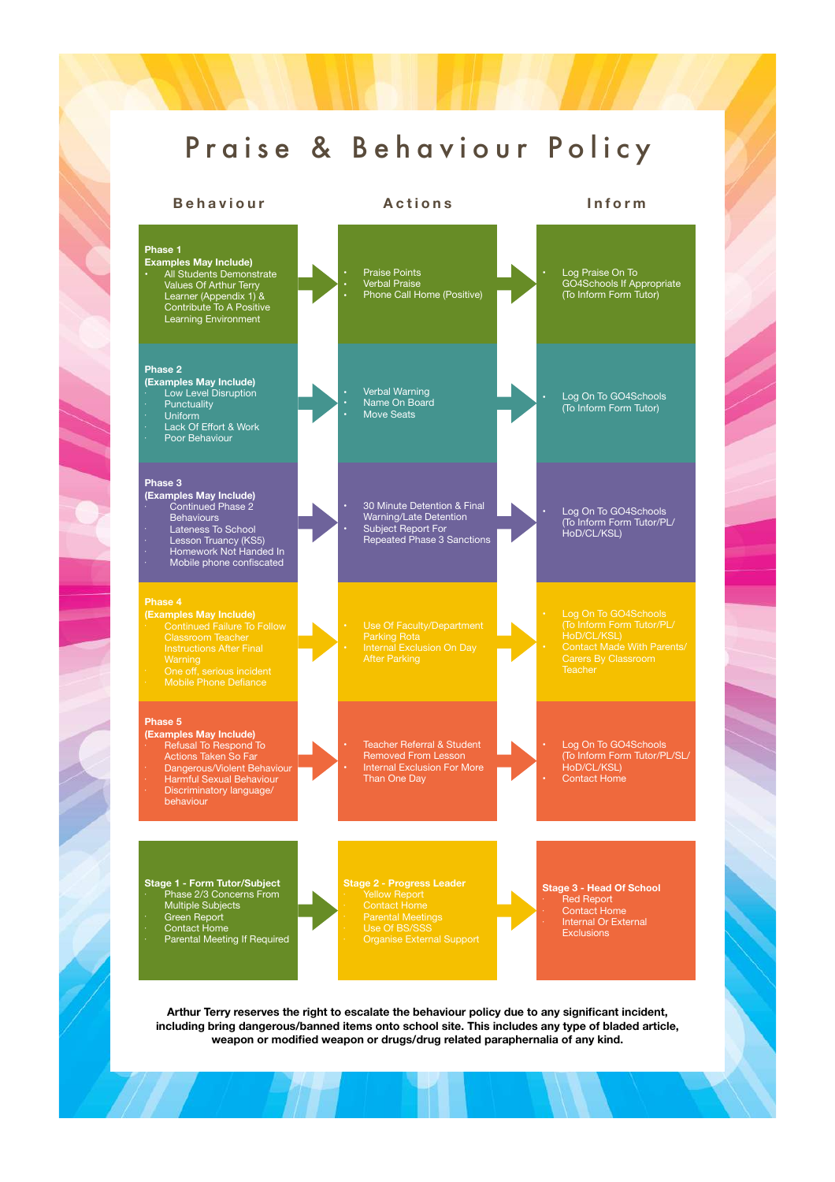### Praise & Behaviour Policy

### **Stage 1 - Form Tutor/Subject**  • Phase 2/3 Concerns From Multiple Subjects • Green Report • Contact Home • Parental Meeting If Required **Stage 2 - Progress Leader**  • Use Of BS/SSS **Stage 3 - Head Of School**  • Red Report • Contact Home • Internal Or External **Exclusions Phase 1 Examples May Include) •** All Students Demonstrate Values Of Arthur Terry Learner (Appendix 1) & Contribute To A Positive Learning Environment **•** Praise Points **•** Verbal Praise **•** Phone Call Home (Positive) **•** Log Praise On To GO4Schools If Appropriate (To Inform Form Tutor) **Phase 2 (Examples May Include)**  • Low Level Disruption • Punctuality • Uniform • Lack Of Effort & Work • Poor Behaviour **•** Verbal Warning • Name On Board Move Seats **•** Log On To GO4Schools (To Inform Form Tutor) **Phase 3 (Examples May Include)**  • Continued Phase 2 **Behaviours** • Lateness To School • Lesson Truancy (KS5) • Homework Not Handed In • Mobile phone confiscated • 30 Minute Detention & Final Warning/Late Detention • Subject Report For Repeated Phase 3 Sanctions • Log On To GO4Schools (To Inform Form Tutor/PL/ HoD/CL/KSL) **(Examples May Include)**  • Mobile Phone Defiance Parking Rota After Parking • Log On To GO4Schools HoD/CL/KSL) **Phase 5 (Examples May Include)**   $\cdot$  Refusal To Respond To Actions Taken So Far • Dangerous/Violent Behaviour • Harmful Sexual Behaviour • Discriminatory language/ behaviour Teacher Referral & Student Removed From Lesson • Internal Exclusion For More Than One Day Log On To GO4Schools (To Inform Form Tutor/PL/SL/ HoD/CL/KSL) Contact Home **Behaviour Actions Inform**

**Arthur Terry reserves the right to escalate the behaviour policy due to any significant incident, including bring dangerous/banned items onto school site. This includes any type of bladed article, weapon or modified weapon or drugs/drug related paraphernalia of any kind.**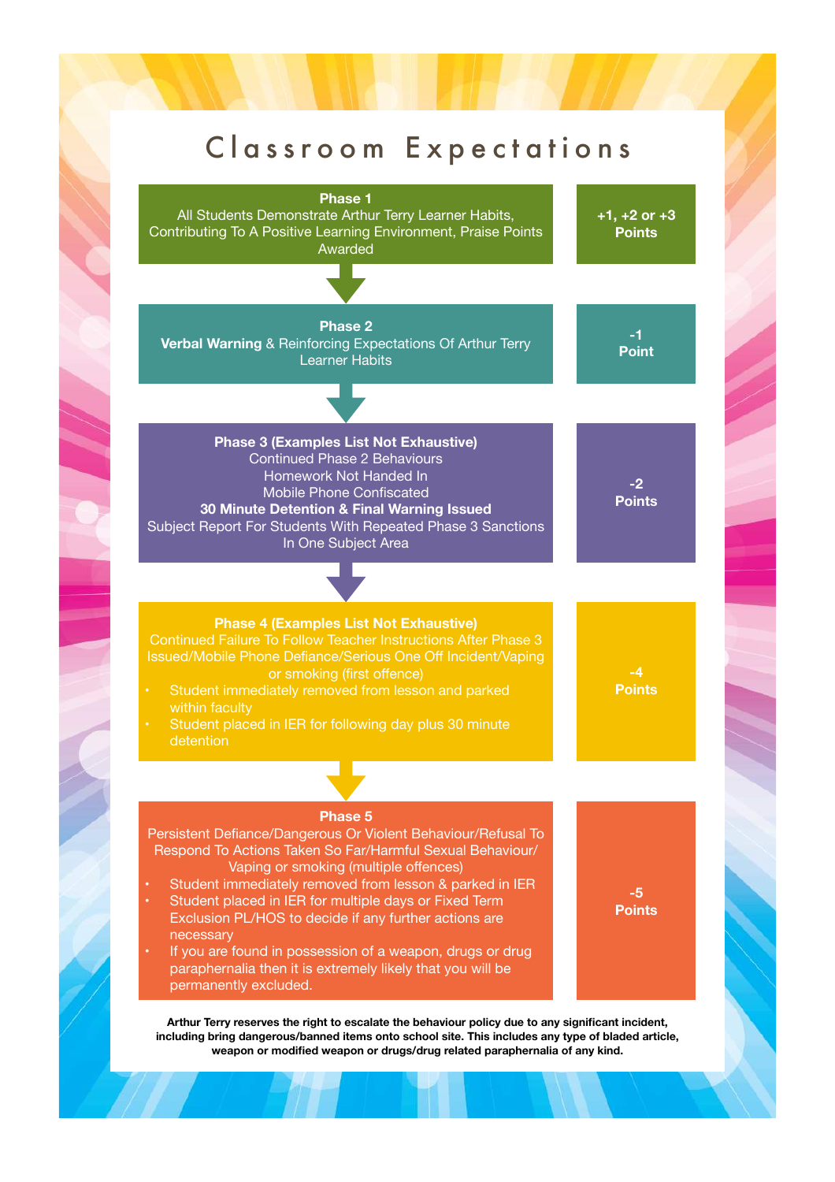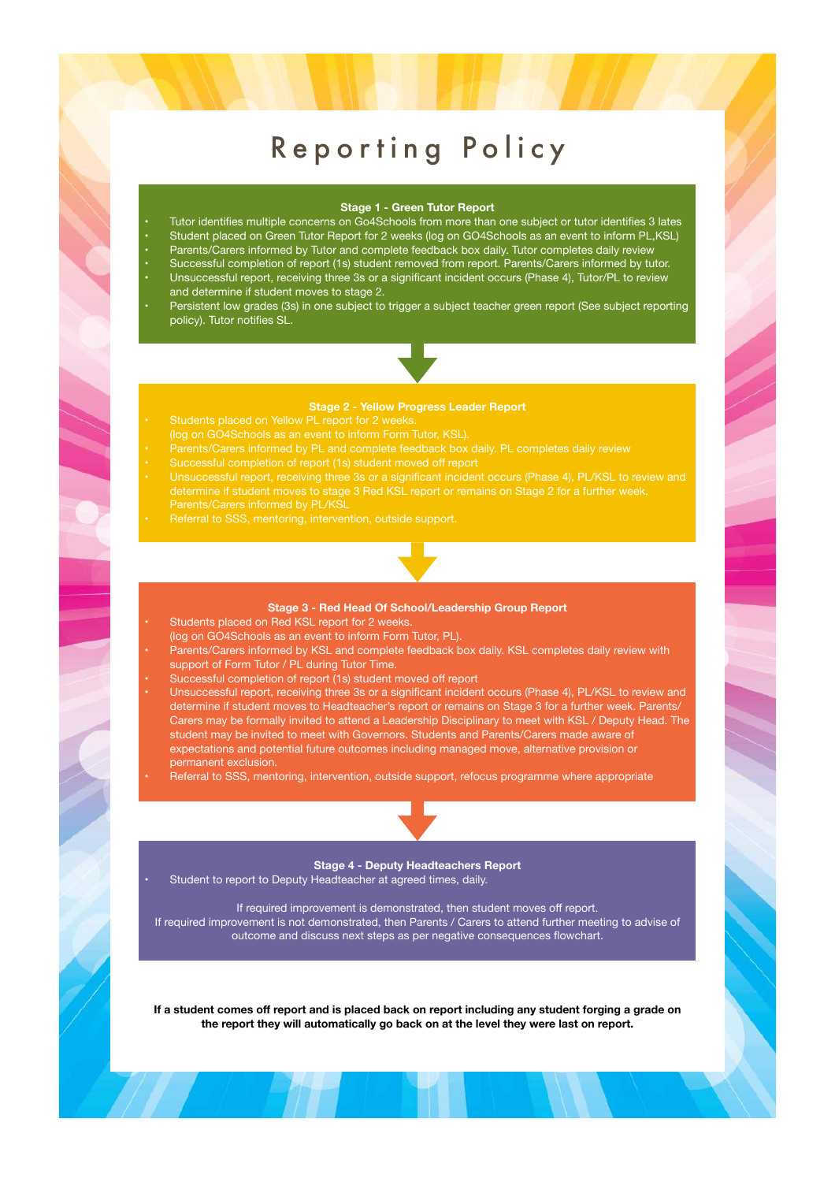### Reporting Policy

### **Stage 1 - Green Tutor Report**

- Tutor identifies multiple concerns on Go4Schools from more than one subject or tutor identifies 3 lates
- Student placed on Green Tutor Report for 2 weeks (log on GO4Schools as an event to inform PL,KSL)
- Parents/Carers informed by Tutor and complete feedback box daily. Tutor completes daily review • Successful completion of report (1s) student removed from report. Parents/Carers informed by tutor.
- Unsuccessful report, receiving three 3s or a significant incident occurs (Phase 4), Tutor/PL to review and determine if student moves to stage 2.
- Persistent low grades (3s) in one subject to trigger a subject teacher green report (See subject reporting policy). Tutor notifies SL.

### **Stage 2 - Yellow Progress Leader Report**

- 
- 
- 
- 
- - Referral to SSS, mentoring, intervention, outside support.

### **Stage 3 - Red Head Of School/Leadership Group Report**

- Students placed on Red KSL report for 2 weeks.
- (log on GO4Schools as an event to inform Form Tutor, PL).
- Parents/Carers informed by KSL and complete feedback box daily. KSL completes daily review with support of Form Tutor / PL during Tutor Time.
- Successful completion of report (1s) student moved off report
- Unsuccessful report, receiving three 3s or a significant incident occurs (Phase 4), PL/KSL to review and determine if student moves to Headteacher's report or remains on Stage 3 for a further week. Parents/ Carers may be formally invited to attend a Leadership Disciplinary to meet with KSL / Deputy Head. The student may be invited to meet with Governors. Students and Parents/Carers made aware of expectations and potential future outcomes including managed move, alternative provision or permanent exclusion.
- Referral to SSS, mentoring, intervention, outside support, refocus programme where appropriate

### **Stage 4 - Deputy Headteachers Report**

Student to report to Deputy Headteacher at agreed times, daily.

If required improvement is demonstrated, then student moves off report. If required improvement is not demonstrated, then Parents / Carers to attend further meeting to advise of outcome and discuss next steps as per negative consequences flowchart.

**If a student comes off report and is placed back on report including any student forging a grade on the report they will automatically go back on at the level they were last on report.**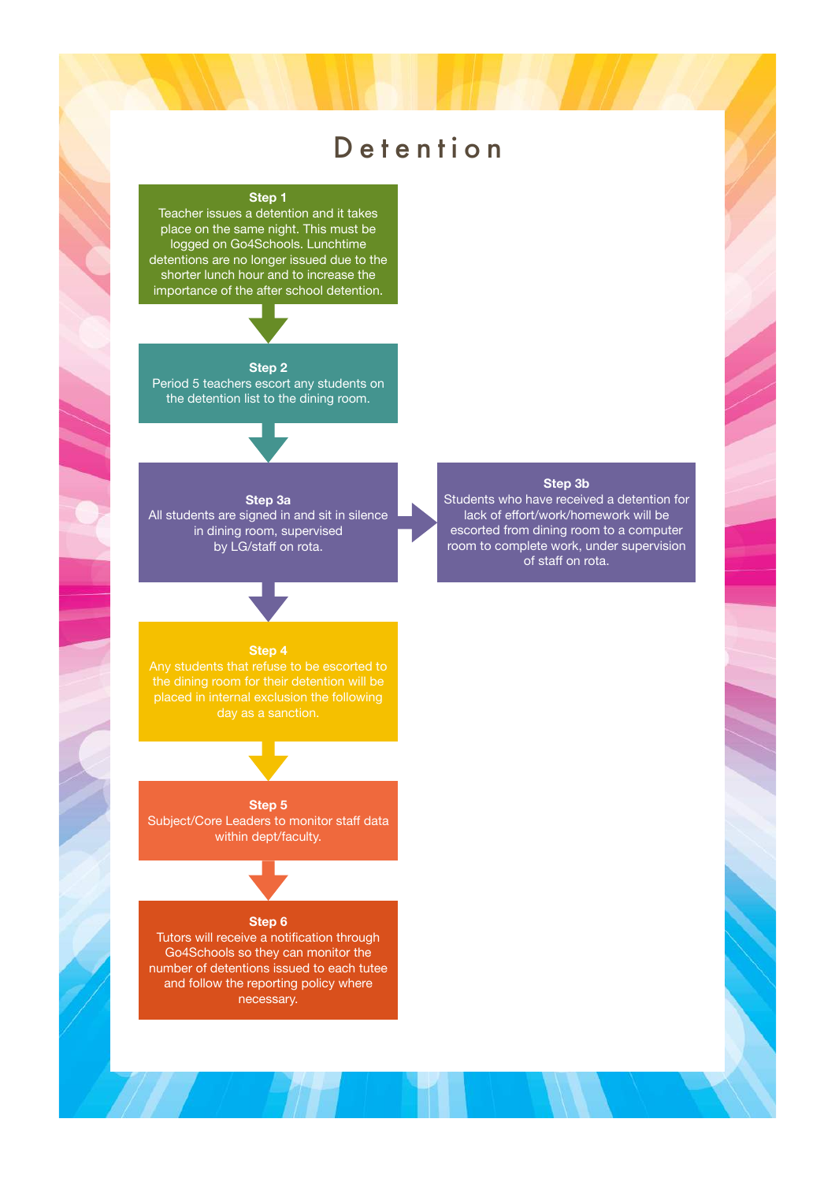### Detention

### **Step 1**

Teacher issues a detention and it takes place on the same night. This must be logged on Go4Schools. Lunchtime detentions are no longer issued due to the shorter lunch hour and to increase the importance of the after school detention.

### **Step 2**

Period 5 teachers escort any students on the detention list to the dining room.

All students are signed in and sit in silence in dining room, supervised by LG/staff on rota.

**Step 3a** 

### **Step 3b**

Students who have received a detention for lack of effort/work/homework will be escorted from dining room to a computer room to complete work, under supervision of staff on rota.

### **Step 4**

placed in internal exclusion the following

### **Step 5**

Subject/Core Leaders to monitor staff data within dept/faculty.

### **Step 6**

Tutors will receive a notification through Go4Schools so they can monitor the number of detentions issued to each tutee and follow the reporting policy where necessary.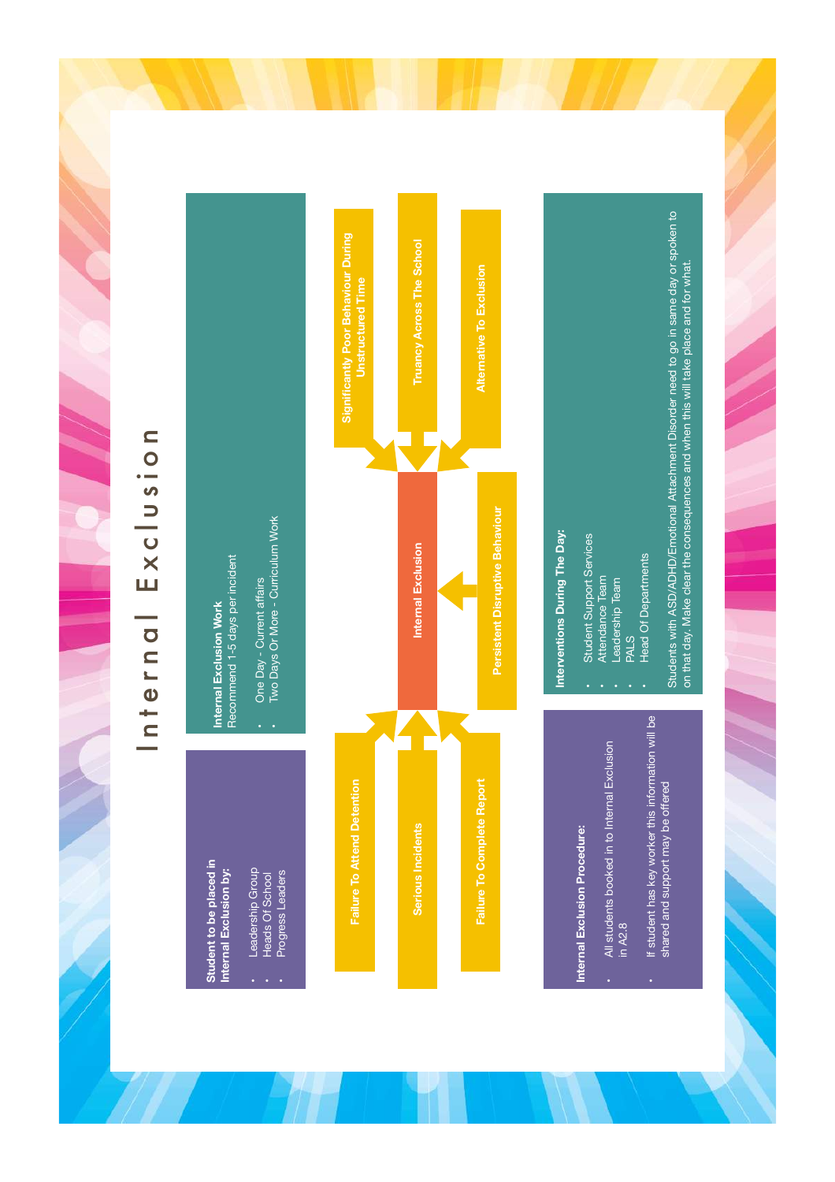## Internal Exclusion Internal Exclusion



## Internal Exclusion Procedure: **Internal Exclusion Procedure:**

- All students booked in to Internal Exclusion • All students booked in to Internal Exclusion in A2.8
- If student has key worker this information will be • If student has key worker this information will be shared and support may be offered shared and support may be offered

### Interventions During The Day: **Interventions During The Day:**

- **Student Support Services** • Student Support Services
	- Attendance Team • Attendance Team
		- Leadership Team • Leadership Team • PALS
- 
- **Head Of Departments** • Head Of Departments

Students with ASD/ADHD/Emotional Attachment Disorder need to go in same day or spoken to Students with ASD/ADHD/Emotional Attachment Disorder need to go in same day or spoken to on that day. Make clear the consequences and when this will take place and for what. on that day. Make clear the consequences and when this will take place and for what.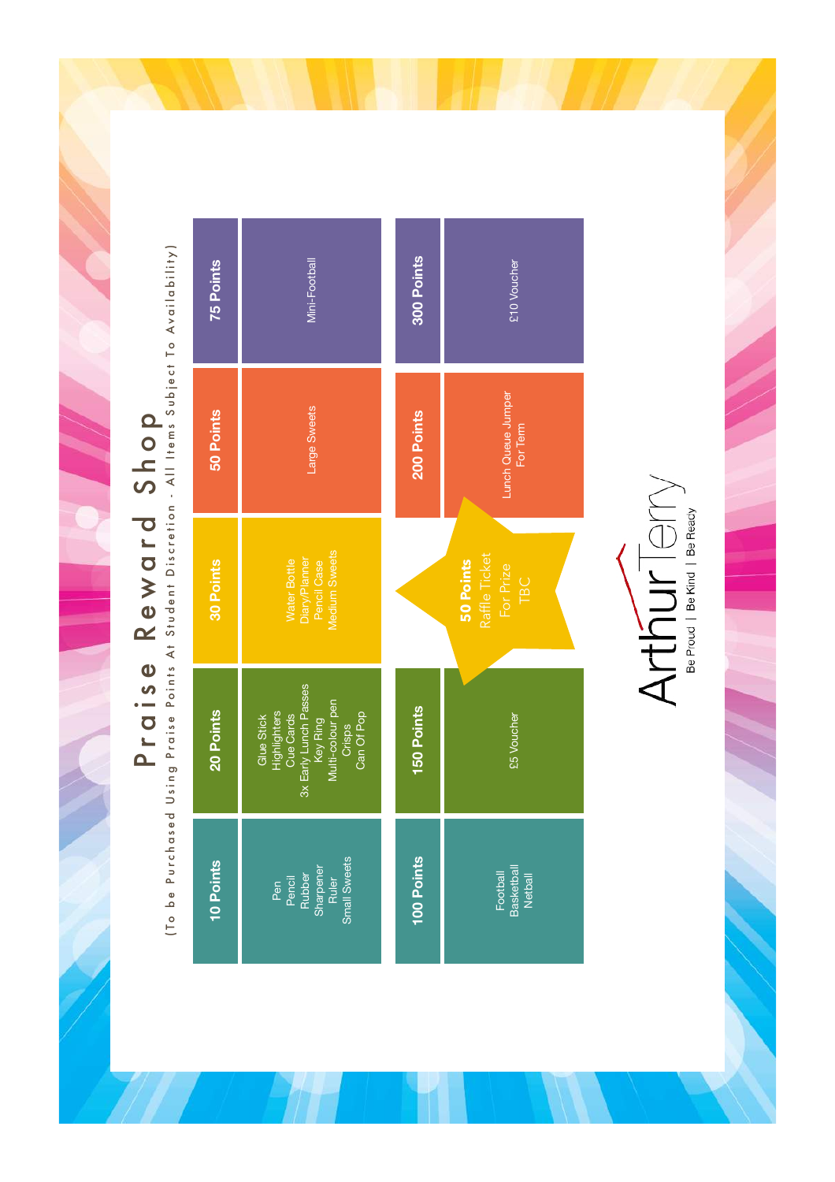# Praise Reward Shop

Praise Reward rold Shop and the Availability (To be Purchased Using Praise Points At Student Discretion - All Items Subject To Availability)

|   | <b>75 Points</b> | Mini-Football                                                                                                            | 300 Points | £10 Voucher                                    |  |
|---|------------------|--------------------------------------------------------------------------------------------------------------------------|------------|------------------------------------------------|--|
|   | 50 Points        | Large Sweets                                                                                                             | 200 Points | Lunch Queue Jumper<br>For Term                 |  |
|   | 30 Points        | Medium Sweets<br>Diary/Plamer<br>Pencil Case<br><b>Water Bottle</b>                                                      |            | Raffle Ticket<br>50 Points<br>For Prize<br>TBC |  |
| J | 20 Points        | 3x Early Lunch Passes<br>Key Ring<br>Multi-colour pen<br>Glue Stick<br>Highlighters<br>Can Of Pop<br>Cue Cards<br>Crisps | 150 Points | £5 Voucher                                     |  |
|   | 10 Points        | Small Sweets<br>Pen<br>Pencil<br>Rubber<br>Sharpener<br>Ruler                                                            | 100 Points | Football<br>Basketball<br>Netball              |  |

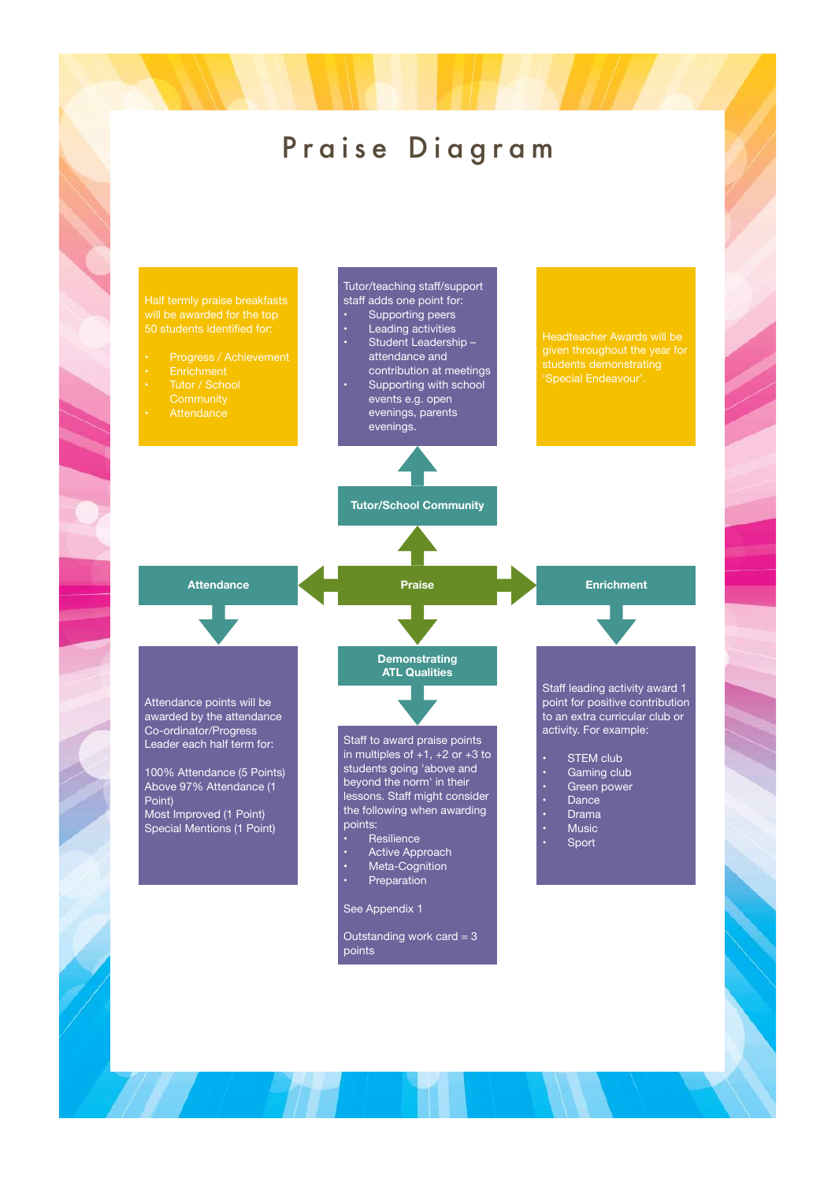### Praise Diagram

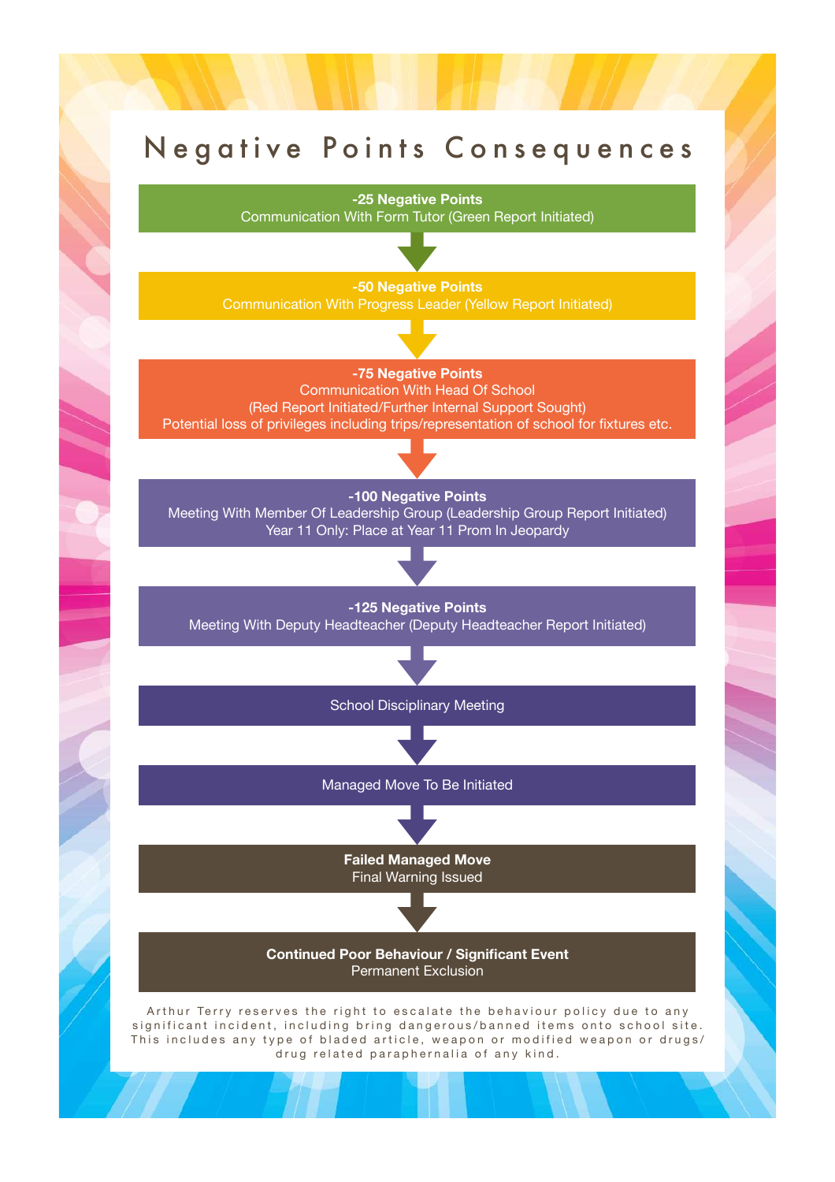